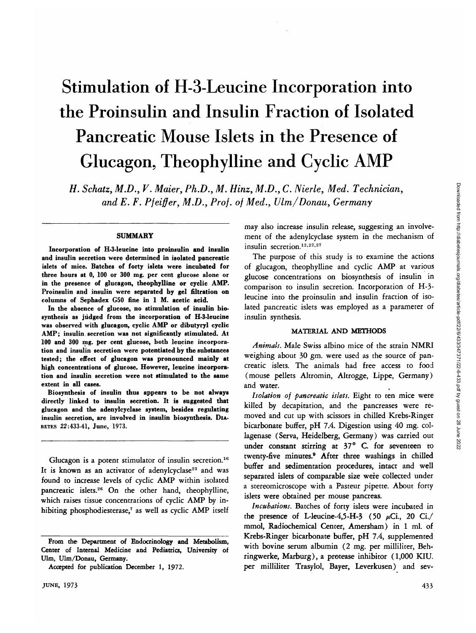# Stimulation of H-3-Leucine Incorporation into the Proinsulin and Insulin Fraction of Isolated Pancreatic Mouse Islets in the Presence of Glucagon, Theophylline and Cyclic AMP

*H. Schatz, M.D., V. Maier, Ph.D., M. Hinz, M.D., C. Nierle, Med. Technician, and E. F. Pfeiffer, M.D., Prof, of Med., Ulm/Donau, Germany*

#### **SUMMARY**

**Incorporation of H-3-leucine into proinsulin and insulin and insulin secretion were determined in isolated pancreatic islets of mice. Batches of forty islets were incubated for three hours at 0, 100 or 300 mg. per cent glucose alone or in the presence of glucagon, theophylline or cyclic AMP. Proinsulin and insulin were separated by gel filtration on columns of Sephadex C50 fine in 1 M. acetic acid.**

**In the absence of glucose, no stimulation of insulin biosynthesis as judged from the incorporation of H-3-leucine was observed with glucagon, cyclic AMP or dibutyryl cyclic AMP; insulin, secretion was not significantly stimulated. At 100 and 300 mg. per cent glucose, both leucine incorporation and insulin secretion were potentiated by the substances tested; the effect of glucagon was pronounced mainly at high concentrations of glucose. However, leucine incorporation and insulin secretion were not stimulated to the same extent in all cases.**

**Biosynthesis of insulin thus appears to be not always directly linked to insulin secretion. It is suggested that glucagon and the adenylcyclase system, besides regulating insulin secretion, are involved in insulin biosynthesis. DIA-BETES 22:433-41, June, 1973.**

Glucagon is a potent stimulator of insulin secretion.<sup>16</sup> It is known as an activator of adenylcyclase<sup>23</sup> and was found to increase levels of cyclic AMP within isolated pancreatic islets.<sup>26</sup> On the other hand, theophylline, which raises tissue concentrations of cyclic AMP by inhibiting phosphodiesterase,<sup>7</sup> as well as cyclic AMP itself

may also increase insulin release, suggesting an involvement of the adenylcyclase system in the mechanism of insulin secretion.<sup>12,22,27</sup>

The purpose of this study is to examine the actions of glucagon, theophylline and cyclic AMP at various glucose concentrations on biosynthesis of insulin in comparison to insulin secretion. Incorporation of H-3 leucine into the proinsulin and insulin fraction of isolated pancreatic islets was employed as a parameter of insulin synthesis.

#### MATERIAL AND METHODS

*Animals.* Male Swiss albino mice of the strain NMRI weighing about 30 gm. were used as the source of pancreatic islets. The animals had free access to food (mouse pellets Altromin, Altrogge, Lippe, Germany) and water.

*Isolation of pancreatic islets.* Eight to ten mice were killed by decapitation, and the pancreases were removed and cut up with scissors in chilled Krebs-Ringer bicarbonate buffer, pH 7.4. Digestion using 40 mg. collagenase (Serva, Heidelberg, Germany) was carried out under constant stirring at  $37^\circ$  C. for seventeen to twenty-five minutes.<sup>9</sup> After three washings in chilled buffer and sedimentation procedures, intact and well separated islets of comparable size were collected under a stereomicroscope with a Pasteur pipette. About forty islets were obtained per mouse pancreas.

*Incubations.* Batches of forty islets were incubated in the presence of L-leucine-4,5-H-3 (50  $\mu$ Ci., 20 Ci./ mmol, Radiochemical Center, Amersham) in 1 ml. of Krebs-Ringer bicarbonate buffer, pH 7.4, supplemented with bovine serum albumin (2 mg. per milliliter, Behringwerke, Marburg), a protease inhibitor (1,000 KIU. per milliliter Trasylol, Bayer, Leverkusen) and sev-

**From the Department of Endocrinology and Metabolism, Center of Internal Medicine and Pediatrics, University of Ulm, Ulm/Donau, Germany.**

**Accepted for publication December 1, 1972.**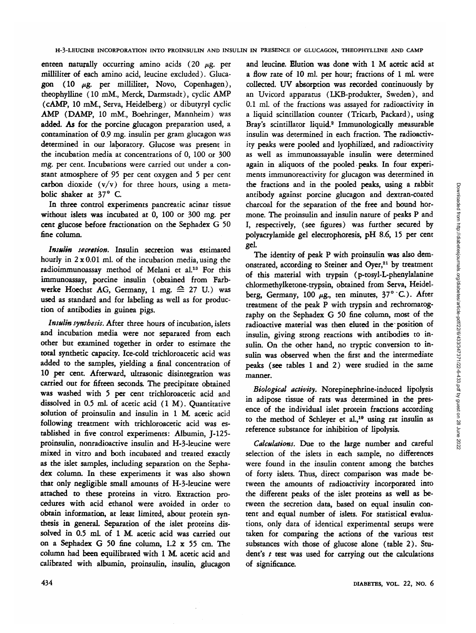enteen naturally occurring amino acids  $(20 \mu g, p_{\text{eff}})$ milliliter of each amino acid, leucine excluded). Glucagon (10  $\mu$ g. per milliliter, Novo, Copenhagen), theophylline (10 mM., Merck, Darmstadt), cyclic AMP (cAMP, 10 mM., Serva, Heidelberg) or dibutyryl cyclic AMP (DAMP, 10 mM., Boehringer, Mannheim) was added. As for the porcine glucagon preparation used, a contamination of 0.9 mg. insulin per gram glucagon was determined in our laboratory. Glucose was present in the incubation media at concentrations of 0, 100 or 300 mg. per cent. Incubations were carried out under a constant atmosphere of 95 per cent oxygen and 5 per cent carbon dioxide  $(v/v)$  for three hours, using a metabolic shaker at 37° C

In three control experiments pancreatic acinar tissue without islets was incubated at 0, 100 or 300 mg. per cent glucose before fractionation on the Sephadex G 50 fine column.

*Insulin secretion.* Insulin secretion was estimated hourly in  $2 \times 0.01$  ml. of the incubation media, using the radioimmunoassay method of Melani et al.<sup>13</sup> For this immunoassay, porcine insulin (obtained from Farbwerke Hoechst AG, Germany, 1 mg.  $\triangleq$  27 U.) was used as standard and for labeling as well as for production of antibodies in guinea pigs.

*Insulin synthesis.* After three hours of incubation, islets and incubation media were not separated from each other but examined together in order to estimate the total synthetic capacity. Ice-cold trichloroacetic acid was added to the samples, yielding a final concentration of 10 per cent. Afterward, ultrasonic disintegration was carried out for fifteen seconds. The precipitate obtained was washed with 5 per cent trichloroacetic acid and dissolved in 0.5 ml. of acetic acid (1 M). Quantitative solution of proinsulin and insulin in 1 M. acetic acid following treatment with trichloroacetic acid was established in five control experiments: Albumin, J-125 proinsulin, nonradioactive insulin and H-3-leucine were mixed in vitro and both incubated and treated exactly as the islet samples, including separation on the Sephadex column. In these experiments it was also shown that only negligible small amounts of H-3-leucine were attached to these proteins in vitro. Extraction procedures with acid ethanol were avoided in order to obtain information, at least limited, about protein synthesis in general. Separation of the islet proteins dissolved in 0.5 mL of 1 M. acetic acid was carried out on a Sephadex G 50 fine column, 1.2 x 55 cm. The column had been equilibrated with 1 M. acetic acid and calibrated with albumin, proinsulin, insulin, glucagon

and leucine. Elution was done with 1 M acetic acid at a flow rate of 10 ml. per hour; fractions of 1 ml. were collected. UV absorption was recorded continuously by an Uvicord apparatus (LKB-produkter, Sweden), and 0.1 ml. of the fractions was assayed for radioactivity in a liquid scintillation counter (Tricarb, Packard), using Bray's scintillator liquid.<sup>2</sup> Immunologically measurable insulin was determined in each fraction. The radioactivity peaks were pooled and lyophilized, and radioactivity as well as immunoassayable insulin were determined again in aliquots of the pooled peaks. In four experiments immunoreactivity for glucagon was determined in the fractions and in the pooled peaks, using a rabbit antibody against porcine glucagon and dextran-coated charcoal for the separation of the free and bound hormone. The proinsulin and insulin nature of peaks P and I, respectively, (see figures) was further secured by polyacrylamide gel electrophoresis, pH 8.6, 15 per cent gel-

The identity of peak P with proinsulin was also demonstrated, according to Steiner and Oyer,<sup>21</sup> by treatment of this material with trypsin (p-tosyl-L-phenylalanine chlormethylketone-trypsin, obtained from Serva, Heidelberg, Germany, 100  $\mu$ g., ten minutes, 37° °C.). After treatment of the peak P with trypsin and rechromatography on the Sephadex G 50 fine column, most of the radioactive material was then eluted in the position of insulin, giving strong reactions with antibodies to insulin. On the other hand, no tryptic conversion to insulin was observed when the first and the intermediate peaks (see tables 1 and 2) were studied in the same manner.

*Biological activity.* Norepinephrine-induced lipolysis in adipose tissue of rats was determined in the presence of the individual islet protein fractions according to the method of Schleyer et al.,<sup>19</sup> using rat insulin as reference substance for inhibition of lipolysis.

*Calculations.* Due to the large number and careful selection of the islets in each sample, no differences were found in the insulin content among the batches of forty islets. Thus, direct comparison was made between the amounts of radioactivity incorporated into the different peaks of the islet proteins as well as between the secretion data, based on equal insulin content and equal number of islets. For statistical evaluations, only data of identical experimental setups were taken for comparing the actions of the various test substances with those of glucose alone (table 2). Student's  $t$  test was used for carrying out the calculations of significance.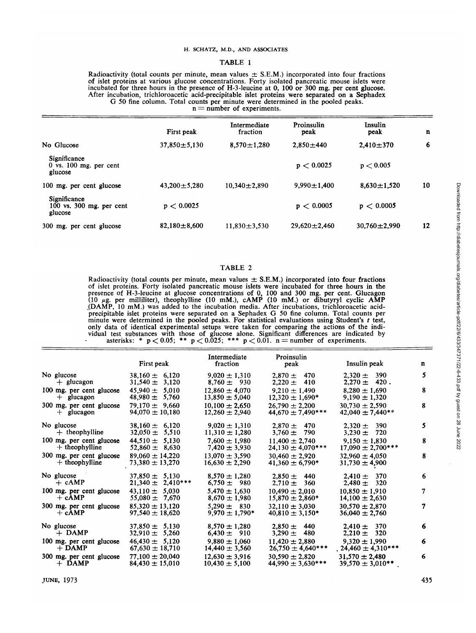### H. SCHATZ, M.D., AND ASSOCIATES

#### TABLE 1

Radioactivity (total counts per minute, mean values  $\pm$  S.E.M.) incorporated into four fractions<br>of islet proteins at various glucose concentrations. Forty isolated pancreatic mouse islets were<br>incubated for three hours

|                                                         | First peak         | Intermediate<br>fraction | Proinsulin<br>peak | Insulin<br>peak    | n  |
|---------------------------------------------------------|--------------------|--------------------------|--------------------|--------------------|----|
| No Glucose                                              | $37,850 \pm 5,130$ | $8.570 \pm 1.280$        | $2.850 \pm 440$    | $2.410 \pm 370$    | 6  |
| Significance<br>$0$ vs. $100$ mg. per cent<br>glucose   |                    |                          | p < 0.0025         | p < 0.005          |    |
| 100 mg. per cent glucose                                | $43.200 \pm 5.280$ | $10.340 \pm 2.890$       | $9.990 \pm 1.400$  | $8,630 \pm 1.520$  | 10 |
| Significance<br>$100$ vs. $300$ mg. per cent<br>glucose | p < 0.0025         |                          | p < 0.0005         | p < 0.0005         |    |
| 300 mg. per cent glucose                                | $82,180 \pm 8,600$ | $11.830 \pm 3.530$       | $29,620 \pm 2,460$ | $30.760 \pm 2.990$ | 12 |

#### TABLE 2

Radioactivity (total counts per minute, mean values  $\pm$  S.E.M.) incorporated into four fractions<br>of islet proteins. Forty isolated pancreatic mouse islets were incubated for three hours in the<br>presence of H-3-leucine at (DAMP, 10 mM.) was added to the incubation media. After incubations, trichloroacetic acid-<br>precipitable islet proteins were separated on a Sephadex G 50 fine column. Total counts per<br>minute were determined in the pooled p

|                          |                                             | Intermediate                         | Proinsulin                            |                                       |             |
|--------------------------|---------------------------------------------|--------------------------------------|---------------------------------------|---------------------------------------|-------------|
|                          | First peak                                  | fraction                             | peak                                  | Insulin peak                          | $\mathbf n$ |
| No glucose               | $38,160 \pm 6,120$                          | $9.020 \pm 1.310$                    | $2,870 \pm 470$                       | $2,320 \pm 390$                       | 5           |
| $+$ glucagon             | $31,540 \pm 3,120$                          | $8,760 \pm 930$                      | $2,220 \pm 410$                       | $2,270 \pm 420$ .                     |             |
| 100 mg. per cent glucose | $45,940 \pm 5,010$                          | $12,860 \pm 4,070$                   | $9.210 \pm 1.490$                     | $8,280 \pm 1,690$                     | 8           |
| $+$ glucagon             | $48,980 \pm 5,760$                          | $13,850 \pm 5,040$                   | $12,320 \pm 1,690*$                   | $9,190 \pm 1,320$                     |             |
| 300 mg. per cent glucose | $79.170 \pm 9.660$                          | $10,100 \pm 2,650$                   | $26.790 \pm 2.200$                    | $30,730 \pm 2,590$                    | 8           |
| $+$ glucagon             | $94.070 \pm 10,180$                         | $12,260 \pm 2,940$                   | $44,670 \pm 7,490***$                 | $42,040 \pm 7,440**$                  |             |
| No glucose               | $38.160 \pm 6.120$                          | $9,020 \pm 1,310$                    | $2,870 \pm 470$                       | $2,320 \pm 390$                       | 5           |
| $+$ theophylline         | $32,050 \pm 5,510$                          | $11,310 \pm 1,280$                   | $3,760 \pm 790$                       | $3,230 \pm 720$                       |             |
| 100 mg. per cent glucose | $44,510 \pm 5,130$                          | $7.600 \pm 1.980$                    | $11,400 \pm 2,740$                    | $9,150 \pm 1,830$                     | 8           |
| $+$ theophylline         | $52,860 \pm 8,630$                          | $7,420 \pm 3,930$                    | $24,130 \pm 4,070$ ***                | $17,090 \pm 2,700***$                 |             |
| 300 mg. per cent glucose | $89,060 \pm 14,220$                         | $13,070 \pm 3,590$                   | $30,460 \pm 2,920$                    | $32.960 \pm 4.050$                    | 8           |
| $+$ theophylline         | $73,380 \pm 13,270$                         | $16,630 \pm 2,290$                   | $41,360 \pm 6,790*$                   | $31,730 \pm 4,900$                    |             |
| No glucose<br>$+$ $cAMP$ | $37,850 \pm 5,130$<br>$21,340 \pm 2,410***$ | $8,570 \pm 1,280$<br>$6.750 \pm 980$ | $2,850 \pm 440$<br>$2,710 \pm 360$    | $2,410 \pm 370$<br>320<br>$2.480 +$   | 6           |
| 100 mg. per cent glucose | $43.110 \pm 5.030$                          | $5,470 \pm 1,630$                    | $10,490 \pm 2,010$                    | $10,850 \pm 1,910$                    | 7           |
| $+$ cAMP                 | $55,080 \pm 7,670$                          | $8,670 \pm 1,980$                    | $15,870 \pm 2,860*$                   | $14,100 \pm 2,630$                    |             |
| 300 mg. per cent glucose | $85,320 \pm 13,120$                         | $5.290 \pm 830$                      | $32.110 \pm 3.030$                    | $30.570 \pm 2.870$                    | 7           |
| $+$ cAMP                 | $97,540 \pm 18,620$                         | $9,970 \pm 1,790*$                   | $40,810 \pm 3,150*$                   | $36,040 \pm 2,760$                    |             |
| No glucose<br>$+$ DAMP   | $37,850 \pm 5,130$<br>$32,910 \pm 5,260$    | $8,570 \pm 1,280$<br>$6,430 \pm 910$ | $2.850 \pm 440$<br>480<br>$3.290 \pm$ | $2,410 \pm 370$<br>320<br>$2,210 \pm$ | 6           |
| 100 mg. per cent glucose | $46.430 \pm 5.120$                          | $9,880 \pm 1,060$                    | $11,420 \pm 2,880$                    | $9,320 \pm 1,990$                     | 6           |
| $+$ DAMP                 | $67,630 \pm 18,710$                         | $14,440 \pm 3,560$                   | $26,750 \pm 4,640***$                 | $.24,460 \pm 4,310***$                |             |
| 300 mg. per cent glucose | $77,100 \pm 20,040$                         | $12,630 \pm 3,916$                   | $30,590 \pm 2,820$                    | $31,570 \pm 2,480$                    | 6           |
| $+$ DAMP                 | $84,430 \pm 15,010$                         | $10,430 \pm 5,100$                   | $44,990 \pm 3,630***$                 | $39,570 \pm 3,010**$                  |             |
|                          |                                             |                                      |                                       |                                       |             |

Downloaded from http://diabetesjournals.org/diabetes/article-pdf/22/6/433/347371/22-6-433.pdf by guest on 28 June 2022 Downloaded from http://diabetesjournals.org/diabetes/article-pdf/22/6/433/347371/22-6-433.pdf by guest on 28 June 2022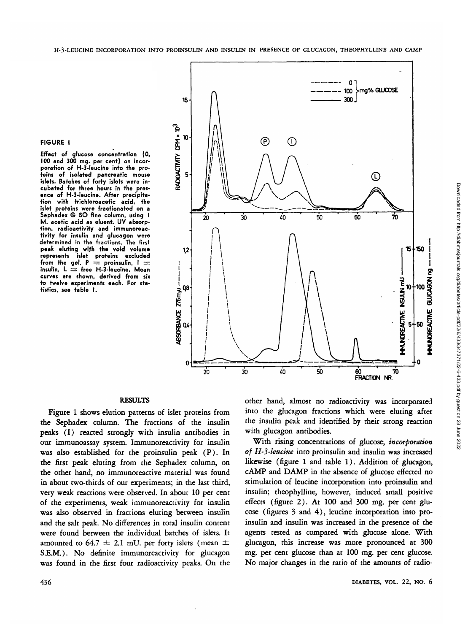#### **FIGURE I**

**Effect of glucose concentration (0, 100 and 300 mg. per cent) on incorporation of H-3-leucine into the proteins of isolated pancreatic mouse islets. Batches of forty islets were incubated for three hours in the presence of H-3-leucine. After precipitation with trichloroacetic acid, the islet proteins were fractionated on a Sephadex G 5O fine column, using I M. acetic acid as eluent. UV absorption, radioactivity and immunoreactivity for insulin and glucagon were determined in the fractions. The first peak eluting with the void volume represents islet proteins excluded** from the gel.  $P =$  proinsulin, I  $=$ **insulin, L = free H-3-leucine. Mean curves are shown, derived from six to twelve experiments each. For statistics, see table I.**



# **RESULTS**

Figure 1 shows elution patterns of islet proteins from the Sephadex column. The fractions of the insulin peaks (I) reacted strongly with insulin antibodies in our immunoassay system. Immunoreactivity for insulin was also established for the proinsulin peak (P). In the first peak eluting from the Sephadex column, on the other hand, no immunoreactive material was found in about two-thirds of our experiments; in the last third, very weak reactions were observed. In about 10 per cent of the experiments, weak immunoreactivity for insulin was also observed in fractions eluting between insulin and the salt peak. No differences in total insulin content were found between the individual batches of islets. It amounted to 64.7  $\pm$  2.1 mU. per forty islets (mean  $\pm$ S.E.M.). No definite immunoreactivity for glucagon was found in the first four radioactivity peaks. On the

other hand, almost no radioactivity was incorporated into the glucagon fractions which were eluting after the insulin peak and identified by their strong reaction with glucagon antibodies.

With rising concentrations of glucose, *incorporation of H-3-leucine* into proinsulin and insulin was increased likewise (figure 1 and table 1). Addition of glucagon, cAMP and DAMP in the absence of glucose effected no stimulation of leucine incorporation into proinsulin and insulin; theophylline, however, induced small positive effects (figure 2). At 100 and 300 mg. per cent glucose (figures 3 and 4), leucine incorporation into proinsulin and insulin was increased in the presence of the agents tested as compared with glucose alone. With glucagon, this increase was more pronounced at 300 mg. per cent glucose than at 100 mg. per cent glucose. No major changes in the ratio of the amounts of radio-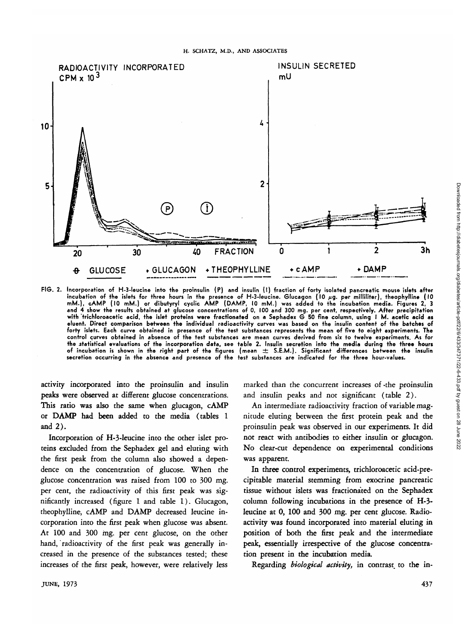

**FIG. 2. Incorporation of H-3-leucine into the proinsulin (P) and insulin (I) fraction of forty isolated pancreatic mouse islets after incubation of the islets for three hours in the presence of H-3-leucine. Glucagon (10 fig. per milliliter), theophylline (10 mM.), cAMP (10 mM.) or dibutyryl cyclic AMP (DAMP, 10 mM.) was added to the incubation media. Figures 2, 3 and 4 show the results obtained at glucose concentrations of 0, 100 and 300 mg. per cent, respectively. After precipitation with 'trichloroacetic acid, the islet proteins were fractionated on a Sephadex G 50 fine column, using I M. acetic acid as eluent. Direct comparison between the individual radioactivity curves was based on the insulin content of the batches of forty islets. Each curve obtained in presence of the test substances represents the mean of five to eight experiments. The control curves obtained in absence of the test substances are mean curves derived from six to twelve experiments. As for** the statistical evaluations of the incorporation data, see table 2. Insulin secretion into the media during the three hours **of incubation is shown in the right part of the figures (mean ± S.E.M.). Significant differences between the insulin secretion occurring in the absence and presence of the test substances are indicated for the three hour-values.**

activity incorporated into the proinsulin and insulin peaks were observed at different glucose concentrations. This ratio was also the same when glucagon, cAMP or DAMP had been added to the media (tables 1 and 2).

Incorporation of H-3-leucine into the other islet proteins excluded from the Sephadex gel and eluting with the first peak from the column also showed a dependence on the concentration of glucose. When the glucose concentration was raised from 100 to 300 mg. per cent, the radioactivity of this first peak was significantly increased (figure 1 and table 1). Glucagon, theophylline, cAMP and DAMP decreased leucine incorporation into the first peak when glucose was absent. At 100 and 300 mg. per cent glucose, on the other hand, radioactivity of the first peak was generally increased in the presence of the substances tested; these increases of the first peak, however, were relatively less marked than the concurrent increases of -the proinsulin and insulin peaks and not significant (table 2).

An intermediate radioactivity fraction of variable magnitude eluting between the first protein peak and the proinsulin peak was observed in our experiments. It did not react with antibodies to either insulin or glucagon. No clear-cut dependence on experimental conditions was apparent.

In three control experiments, trichloroacetic acid-precipitable material stemming from exocrine pancreatic tissue without islets was fractionated on the Sephadex column following incubations in the presence of H-3 leucine at 0, 100 and 300 mg. per cent glucose. Radioactivity was found incorporated into material eluting in position of both the first peak and the intermediate peak, essentially irrespective of the glucose concentration present in the incubation media.

Regarding *biological activity,* in contrast to the in-

Downloaded from http://diabetesjournals.org/diabetes/article-pdf/22/6/433/347371/22-6-433.pdf by guest on 28 June 2022

Downloaded from http://diabetesjournals.org/diabetes/article-pdf/22/6/433/347371/22-6-433.pdf by guest on 28 June 2022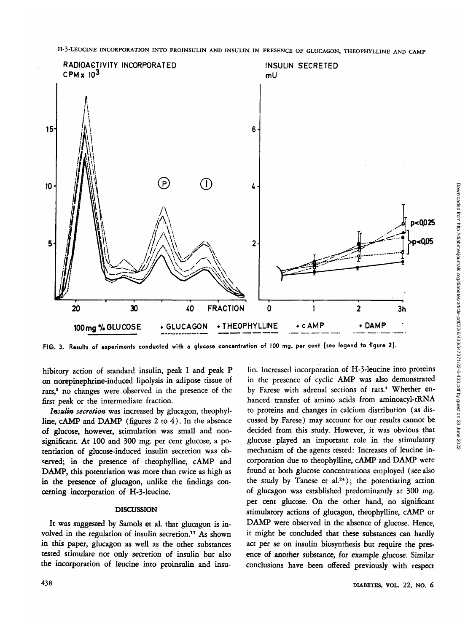**H-3-LEUCINE INCORPORATION INTO PROINSULIN AND INSULIN IN PRESENCE OF GLUCAGON, THEOPHYLLINE AND CAMP**



**FIG. 3. Results of experiments conducted with a glucose concentration of 100 mg. per cent (see legend to figure 2).**

hibitory action of standard insulin, peak I and peak P on norepinephrine-induced lipolysis in adipose tissue of rats,<sup>5</sup> no changes were observed in the presence of the first peak or the intermediate fraction.

*Insulin secretion* was increased by glucagon, theophylline, cAMP and DAMP (figures 2 to 4). In the absence of glucose, however, stimulation was small and nonsignificant. At 100 and 300 mg. per cent glucose, a potentiation of glucose-induced insulin secretion was observed; in the presence of theophylline, cAMP and DAMP, this potentiation was more than twice as high as in the presence of glucagon, unlike the findings concerning incorporation of H-3-leucine.

## DISCUSSION

It was suggested by Samols et al. that glucagon is involved in the regulation of insulin secretion.<sup>17</sup> As shown in this paper, glucagon as well as the other substances tested stimulate not only secretion of insulin but also the incorporation of leucine into proinsulin and insu-

lin. Increased incorporation of H-3-leucine into proteins in the presence of cyclic AMP was also demonstrated by Farese with adrenal sections of rats.<sup>4</sup> Whether enhanced transfer of amino acids from aminoacyl-tRNA to proteins and changes in calcium distribution (as discussed by Farese) may account for our results cannot be decided from this study. However, it was obvious that glucose played an important role in the stimulatory mechanism of the agents tested: Increases of leucine incorporation due to theophylline, cAMP and DAMP were found at both glucose concentrations employed (see also the study by Tanese et al.<sup>24</sup>); the potentiating action of glucagon was established predominantly at 300 mg. per cent glucose. On the other hand, no significant stimulatory actions of glucagon, theophylline, cAMP or DAMP were observed in the absence of glucose. Hence, it might be concluded that these substances can hardly act per se on insulin biosynthesis but require the presence of another substance, for example glucose. Similar conclusions have been offered previously with respect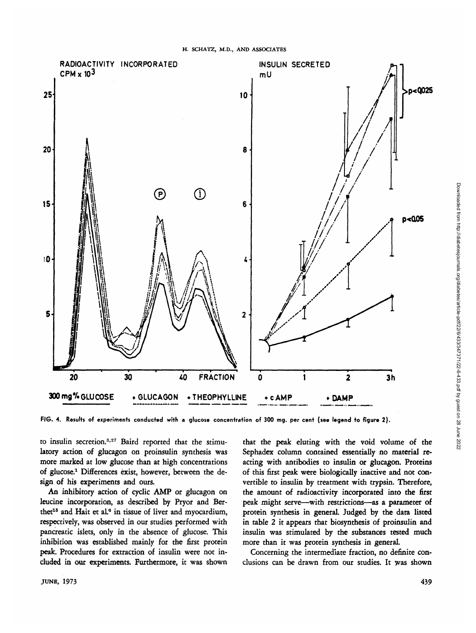

**FIG. 4. Results of experiments conducted with a glucose concentration of 300 mg. per cent (see legend to figure 2).**

to insulin secretion.<sup>3,27</sup> Baird reported that the stimulatory action of glucagon on proinsulin synthesis was more marked at low glucose than at high concentrations of glucose.1 Differences exist, however, between the design of his experiments and ours.

An inhibitory action of cyclic AMP or glucagon on leucine incorporation, as described by Pryor and Berthet<sup>15</sup> and Hait et al.<sup>6</sup> in tissue of liver and myocardium, respectively, was observed in our studies performed with pancreatic islets, only in the absence of glucose. This inhibition was established mainly for the first protein peak. Procedures for extraction of insulin were not included in our experiments. Furthermore, it was shown

that the peak eluting with the void volume of the Sephadex column contained essentially no material reacting with antibodies to insulin or glucagon. Proteins of this first peak were biologically inactive and not convertible to insulin by treatment with trypsin. Therefore, the amount of radioactivity incorporated into the first peak might serve—with restrictions—as a parameter of protein synthesis in general. Judged by the data listed in table 2 it appears that biosynthesis of proinsulin and insulin was stimulated by the substances tested much more than it was protein synthesis in general.

Concerning the intermediate fraction, no definite conclusions can be drawn from our studies. It was shown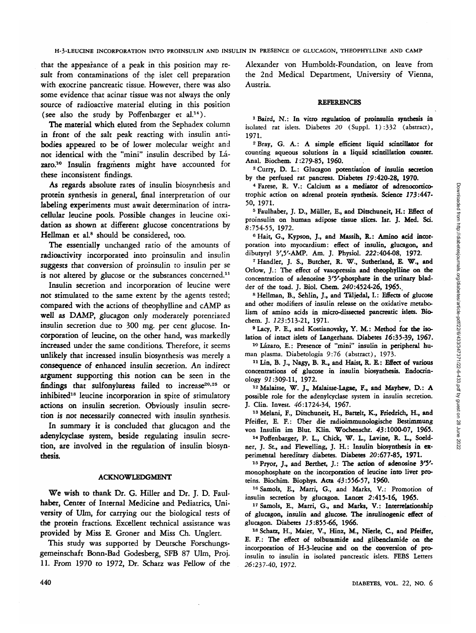Downloaded from http://diabetesjournals.org/diabetes/article-pdf/22/6/433/347371/22-6-433.pdf by guest on 28 June 2022 Downloaded from http://diabetesjournals.org/diabetes/article-pdf/22/6/433/347371/22-6-433.pdf by guest on 28 June 2022

that the appearance of a peak in this position may result from contaminations of the islet cell preparation with exocrine pancreatic tissue. However, there was also some evidence that acinar tissue was not always the only source of radioactive material eluting in this position (see also the study by Poffenbarger et  $al.^{14}$ ).

The material which eluted from the Sephadex column in front of the salt peak reacting with insulin antibodies appeared to be of lower molecular weight and not identical with the "mini" insulin described by Lazaro.<sup>10</sup> Insulin fragments might have accounted for these inconsistent findings.

As regards absolute rates of insulin biosynthesis and protein synthesis in general, final interpretation of our labeling experiments must await determination of intracellular leucine pools. Possible changes in leucine oxidation as shown at different glucose concentrations by Hellman et al.<sup>8</sup> should be considered, too.

The essentially unchanged ratio of the amounts of radioactivity incorporated into proinsulin and insulin suggests that conversion of proinsulin to insulin per se is not altered by glucose or the substances concerned.<sup>11</sup>

Insulin secretion and incorporation of leucine were not stimulated to the same extent by the agents tested; compared with the actions of theophylline and cAMP as well as DAMP, glucagon only moderately potentiated insulin secretion due to 300 mg. per cent glucose. Incorporation of leucine, on the other hand, was markedly increased under the same conditions. Therefore, it seems unlikely that increased insulin biosynthesis was merely a consequence of enhanced insulin secretion. An indirect argument supporting this notion can be seen in the findings that sulfonylureas failed to increase<sup>20,25</sup> or inhibited<sup>18</sup> leucine incorporation in spite of stimulatory actions on insulin secretion. Obviously insulin secretion is not necessarily connected with insulin synthesis.

In summary it is concluded that glucagon and the adenylcyclase system, beside regulating insulin secretion, are involved in the regulation of insulin biosynthesis.

#### ACKNOWLEDGMENT

We wish to thank Dr. G. Hiller and Dr. J. D. Faulhaber, Center of Internal Medicine and Pediatrics, University of Ulm, for carrying out the biological tests of the protein fractions. Excellent technical assistance was provided by Miss E. Groner and Miss Ch. Unglert.

This study was supported by Deutsche Forschungsgemeinschaft Bonn-Bad Godesberg, SFB 87 Ulm, Proj. 11. From 1970 to 1972, Dr. Schatz was Fellow of the Alexander von Humboldt-Foundation, on leave from the 2nd Medical Department, University of Vienna, Austria.

#### REFERENCES

1 Baird, N.: In vitro regulation of proinsulin synthesis in isolated rat islets. Diabetes *20* (Suppl. 1):332 (abstract), 1971. <sup>2</sup>

<sup>2</sup> Bray, G. A.: A simple efficient liquid scintillator for counting aqueous solutions in a liquid scintillation counter. Anal. Biochem. 1:279-85, 1960.

<sup>3</sup> Curry, D. L.: Glucagon potentiation of insulin secretion by the perfused rat pancreas. Diabetes 19:420-28, 1970.

<sup>4</sup> Farese, R. V.: Calcium as a mediator of adrenocorticotrophic action on adrenal protein synthesis. Science 173:447- 50, 1971.

<sup>5</sup> Faulhaber, J. D., Müller, E., and Ditschuneit, H.: Effect of proinsulin on human adipose tissue slices. Isr. J. Med. Sd. 8:754-55, 1972. <sup>6</sup>

<sup>6</sup> Hait, G., Kypson, J., and Massih, R.: Amino acid incorporation into myocardium: effect of insulin, glucagon, and dibutyryl 3',5'-AMP. Am. J. Physiol. 222:404-08, 1972. <sup>7</sup>

 Handler, J. S., Butcher, R. W., Sutherland, E W., and Orlow, J.: The effect of vasopressin and theophylline on the concentration of adenosine 3'5'-phosphate in the urinary bladder of the toad. J. Biol. Chem. *240:4524-26,* 1965.. <sup>8</sup>

 Hellman, B., Sehlin, J., and Taljedal, I.: Effects of glucose and other modifiers of insulin release on the oxidative metabolism of amino acids in micro-dissected pancreatic islets. Biochem. J. 123:513-21, 1971.

9 Lacy, P. E., and Kostianovsky, Y. M.: Method for the isolation of intact islets of Langerhans. Diabetes 16:35-39, 1967.

<sup>10</sup> Lázaro, E.: Presence of "mini" insulin in peripheral human plasma. Diabetologia 9:76 (abstract), 1973.

<sup>11</sup> Lin, B. J., Nagy, B. R., and Haist, R. E: Effect of various concentrations of glucose in insulin biosynthesis. Endocrinology 92:309-11, 1972.

12Malaisse, W. J., Malaisse-Lagae, F., and Mayhew, D.: A possible role for the adenylcyclase system in insulin secretion. J. Clin. Invest. 46:1724-34, 1967.

<sup>13</sup> Melani, F., Ditschuneit, H., Bartelt, K., Friedrich, H., and Pfeiffer, E. F.: Uber die radioimmunologische Bestimmung von Insulin im Blut. Klin. Wochenschr. 43:1000-07, 1965.

14 Poffenbarger, P. L., Chick, W. L., Lavine, R. L., Soeldner, J. St., and Flewelling, J. H.: Insulin biosynthesis in experimental hereditary diabetes. Diabetes 20:677-85, 1971.

15Pryor, J., and Berthet, J.: The action of adenosine 3'5' monophosphate on the incorporation of leucine into liver proteins. Biochim. Biophys. Acta 43:556-57, I960.

16 Samols, E., Marri, G., and Marks, V.: Promotion of insulin secretion by glucagon. Lancet 2:415-16, 1965.

17 Samols, E., Marri, G., and Marks, V.: Interrelationship of glucagon, insulin and glucose. The insulinogenic effect of glucagon. Diabetes 15:855-66, 1966.

18 Schatz, H., Maier, V., Hinz, M., Nierle, C., and Pfeiffer, E. F.: The effect of tolbutamide and glibendamide on the incorporation of H-3-leucine and on the conversion of proinsulin to insulin in isolated pancreatic islets. FEBS Letters 26:237-40, 1972.